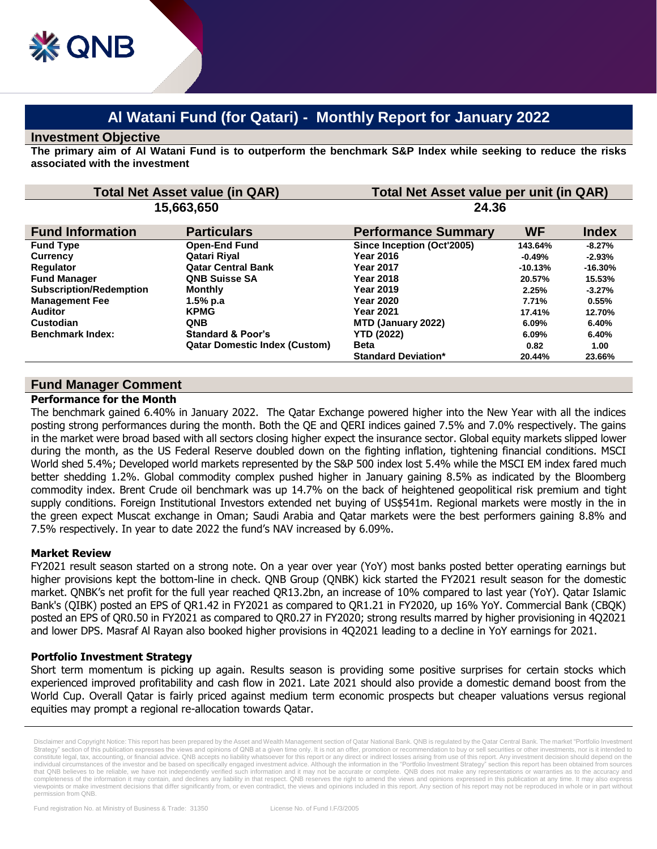# **Al Watani Fund (for Qatari) - Monthly Report for January 2022**

#### **Investment Objective**

**The primary aim of Al Watani Fund is to outperform the benchmark S&P Index while seeking to reduce the risks associated with the investment**

| <b>Total Net Asset value (in QAR)</b><br>15,663,650 |                                      | Total Net Asset value per unit (in QAR)<br>24.36 |           |           |
|-----------------------------------------------------|--------------------------------------|--------------------------------------------------|-----------|-----------|
|                                                     |                                      |                                                  |           |           |
| <b>Fund Type</b>                                    | <b>Open-End Fund</b>                 | Since Inception (Oct'2005)                       | 143.64%   | $-8.27%$  |
| <b>Currency</b>                                     | Qatari Riyal                         | Year 2016                                        | $-0.49\%$ | $-2.93%$  |
| <b>Regulator</b>                                    | <b>Qatar Central Bank</b>            | <b>Year 2017</b>                                 | $-10.13%$ | $-16.30%$ |
| <b>Fund Manager</b>                                 | <b>QNB Suisse SA</b>                 | <b>Year 2018</b>                                 | 20.57%    | 15.53%    |
| <b>Subscription/Redemption</b>                      | <b>Monthly</b>                       | <b>Year 2019</b>                                 | 2.25%     | $-3.27\%$ |
| <b>Management Fee</b>                               | 1.5% p.a                             | <b>Year 2020</b>                                 | 7.71%     | 0.55%     |
| <b>Auditor</b>                                      | <b>KPMG</b>                          | <b>Year 2021</b>                                 | 17.41%    | 12.70%    |
| Custodian                                           | <b>QNB</b>                           | MTD (January 2022)                               | 6.09%     | 6.40%     |
| <b>Benchmark Index:</b>                             | <b>Standard &amp; Poor's</b>         | <b>YTD (2022)</b>                                | 6.09%     | 6.40%     |
|                                                     | <b>Qatar Domestic Index (Custom)</b> | <b>Beta</b>                                      | 0.82      | 1.00      |
|                                                     |                                      | <b>Standard Deviation*</b>                       | 20.44%    | 23.66%    |

# **Fund Manager Comment**

#### **Performance for the Month**

The benchmark gained 6.40% in January 2022. The Qatar Exchange powered higher into the New Year with all the indices posting strong performances during the month. Both the QE and QERI indices gained 7.5% and 7.0% respectively. The gains in the market were broad based with all sectors closing higher expect the insurance sector. Global equity markets slipped lower during the month, as the US Federal Reserve doubled down on the fighting inflation, tightening financial conditions. MSCI World shed 5.4%; Developed world markets represented by the S&P 500 index lost 5.4% while the MSCI EM index fared much better shedding 1.2%. Global commodity complex pushed higher in January gaining 8.5% as indicated by the Bloomberg commodity index. Brent Crude oil benchmark was up 14.7% on the back of heightened geopolitical risk premium and tight supply conditions. Foreign Institutional Investors extended net buying of US\$541m. Regional markets were mostly in the in the green expect Muscat exchange in Oman; Saudi Arabia and Qatar markets were the best performers gaining 8.8% and 7.5% respectively. In year to date 2022 the fund's NAV increased by 6.09%.

## **Market Review**

FY2021 result season started on a strong note. On a year over year (YoY) most banks posted better operating earnings but higher provisions kept the bottom-line in check. QNB Group (QNBK) kick started the FY2021 result season for the domestic market. QNBK's net profit for the full year reached QR13.2bn, an increase of 10% compared to last year (YoY). Qatar Islamic Bank's (QIBK) posted an EPS of QR1.42 in FY2021 as compared to QR1.21 in FY2020, up 16% YoY. Commercial Bank (CBQK) posted an EPS of QR0.50 in FY2021 as compared to QR0.27 in FY2020; strong results marred by higher provisioning in 4Q2021 and lower DPS. Masraf Al Rayan also booked higher provisions in 4Q2021 leading to a decline in YoY earnings for 2021.

## **Portfolio Investment Strategy**

Short term momentum is picking up again. Results season is providing some positive surprises for certain stocks which experienced improved profitability and cash flow in 2021. Late 2021 should also provide a domestic demand boost from the World Cup. Overall Qatar is fairly priced against medium term economic prospects but cheaper valuations versus regional equities may prompt a regional re-allocation towards Qatar.

Disclaimer and Copyright Notice: This report has been prepared by the Asset and Wealth Management section of Qatar National Bank. QNB is regulated by the Qatar Central Bank. The market "Portfolio Investment Strategy" section of this publication expresses the views and opinions of QNB at a given time only. It is not an offer, promotion or recommendation to buy or sell securities or other investments, nor is it intended to<br>cons individual circumstances of the investor and be based on specifically engaged investment advice. Although the information in the "Portfolio Investment Strategy" section this report has been obtained from sources that QNB believes to be reliable, we have not independently verified such information and it may not be accurate or complete. QNB does not make any representations or warranties as to the accuracy and completeness of the information it may contain, and declines any liability in that respect. QNB reserves the right to amend the views and opinions expressed in this publication at any time. It may also express viewpoints or make investment decisions that differ significantly from, or even contradict, the views and opinions included in this report. Any section of his report may not be reproduced in whole or in part without permission from QNB.